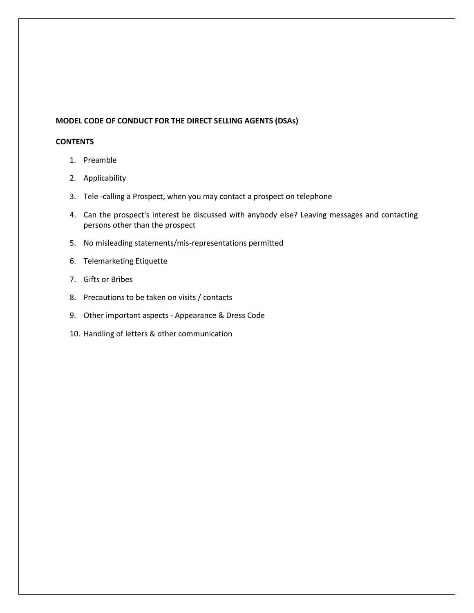## **MODEL CODE OF CONDUCT FOR THE DIRECT SELLING AGENTS (DSAs)**

## **CONTENTS**

- 1. Preamble
- 2. Applicability
- 3. Tele -calling a Prospect, when you may contact a prospect on telephone
- 4. Can the prospect's interest be discussed with anybody else? Leaving messages and contacting persons other than the prospect
- 5. No misleading statements/mis-representations permitted
- 6. Telemarketing Etiquette
- 7. Gifts or Bribes
- 8. Precautions to be taken on visits / contacts
- 9. Other important aspects Appearance & Dress Code
- 10. Handling of letters & other communication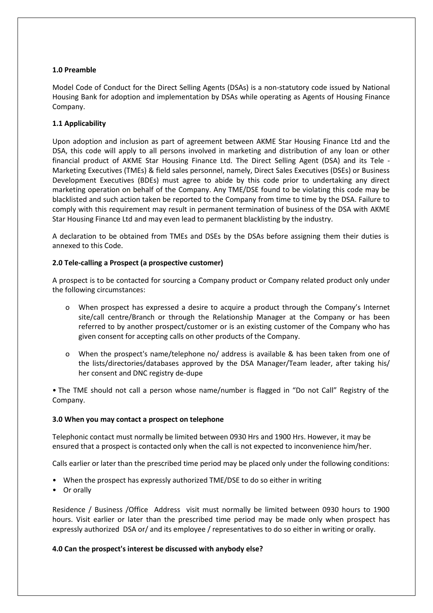## **1.0 Preamble**

Model Code of Conduct for the Direct Selling Agents (DSAs) is a non-statutory code issued by National Housing Bank for adoption and implementation by DSAs while operating as Agents of Housing Finance Company.

## **1.1 Applicability**

Upon adoption and inclusion as part of agreement between AKME Star Housing Finance Ltd and the DSA, this code will apply to all persons involved in marketing and distribution of any loan or other financial product of AKME Star Housing Finance Ltd. The Direct Selling Agent (DSA) and its Tele - Marketing Executives (TMEs) & field sales personnel, namely, Direct Sales Executives (DSEs) or Business Development Executives (BDEs) must agree to abide by this code prior to undertaking any direct marketing operation on behalf of the Company. Any TME/DSE found to be violating this code may be blacklisted and such action taken be reported to the Company from time to time by the DSA. Failure to comply with this requirement may result in permanent termination of business of the DSA with AKME Star Housing Finance Ltd and may even lead to permanent blacklisting by the industry.

A declaration to be obtained from TMEs and DSEs by the DSAs before assigning them their duties is annexed to this Code.

## **2.0 Tele-calling a Prospect (a prospective customer)**

A prospect is to be contacted for sourcing a Company product or Company related product only under the following circumstances:

- o When prospect has expressed a desire to acquire a product through the Company's Internet site/call centre/Branch or through the Relationship Manager at the Company or has been referred to by another prospect/customer or is an existing customer of the Company who has given consent for accepting calls on other products of the Company.
- o When the prospect's name/telephone no/ address is available & has been taken from one of the lists/directories/databases approved by the DSA Manager/Team leader, after taking his/ her consent and DNC registry de-dupe

• The TME should not call a person whose name/number is flagged in "Do not Call" Registry of the Company.

## **3.0 When you may contact a prospect on telephone**

Telephonic contact must normally be limited between 0930 Hrs and 1900 Hrs. However, it may be ensured that a prospect is contacted only when the call is not expected to inconvenience him/her.

Calls earlier or later than the prescribed time period may be placed only under the following conditions:

- When the prospect has expressly authorized TME/DSE to do so either in writing
- Or orally

Residence / Business /Office Address visit must normally be limited between 0930 hours to 1900 hours. Visit earlier or later than the prescribed time period may be made only when prospect has expressly authorized DSA or/ and its employee / representatives to do so either in writing or orally.

## **4.0 Can the prospect's interest be discussed with anybody else?**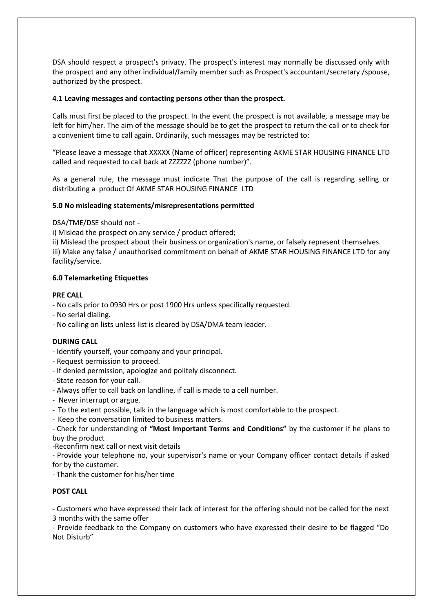DSA should respect a prospect's privacy. The prospect's interest may normally be discussed only with the prospect and any other individual/family member such as Prospect's accountant/secretary /spouse, authorized by the prospect.

## **4.1 Leaving messages and contacting persons other than the prospect.**

Calls must first be placed to the prospect. In the event the prospect is not available, a message may be left for him/her. The aim of the message should be to get the prospect to return the call or to check for a convenient time to call again. Ordinarily, such messages may be restricted to:

"Please leave a message that XXXXX (Name of officer) representing AKME STAR HOUSING FINANCE LTD called and requested to call back at ZZZZZZ (phone number)".

As a general rule, the message must indicate That the purpose of the call is regarding selling or distributing a product Of AKME STAR HOUSING FINANCE LTD

#### **5.0 No misleading statements/misrepresentations permitted**

DSA/TME/DSE should not -

i) Mislead the prospect on any service / product offered;

ii) Mislead the prospect about their business or organization's name, or falsely represent themselves. iii) Make any false / unauthorised commitment on behalf of AKME STAR HOUSING FINANCE LTD for any facility/service.

### **6.0 Telemarketing Etiquettes**

#### **PRE CALL**

- No calls prior to 0930 Hrs or post 1900 Hrs unless specifically requested.
- No serial dialing.
- No calling on lists unless list is cleared by DSA/DMA team leader.

#### **DURING CALL**

- Identify yourself, your company and your principal.
- Request permission to proceed.
- If denied permission, apologize and politely disconnect.
- State reason for your call.
- Always offer to call back on landline, if call is made to a cell number.
- Never interrupt or argue.
- To the extent possible, talk in the language which is most comfortable to the prospect.
- Keep the conversation limited to business matters.

- Check for understanding of **"Most Important Terms and Conditions"** by the customer if he plans to buy the product

-Reconfirm next call or next visit details

- Provide your telephone no, your supervisor's name or your Company officer contact details if asked for by the customer.

- Thank the customer for his/her time

## **POST CALL**

- Customers who have expressed their lack of interest for the offering should not be called for the next 3 months with the same offer

- Provide feedback to the Company on customers who have expressed their desire to be flagged "Do Not Disturb"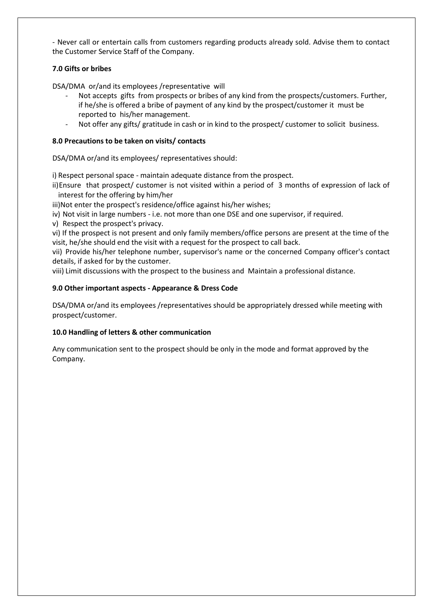- Never call or entertain calls from customers regarding products already sold. Advise them to contact the Customer Service Staff of the Company.

## **7.0 Gifts or bribes**

DSA/DMA or/and its employees /representative will

- Not accepts gifts from prospects or bribes of any kind from the prospects/customers. Further, if he/she is offered a bribe of payment of any kind by the prospect/customer it must be reported to his/her management.
- Not offer any gifts/ gratitude in cash or in kind to the prospect/ customer to solicit business.

## **8.0 Precautions to be taken on visits/ contacts**

DSA/DMA or/and its employees/ representatives should:

i) Respect personal space - maintain adequate distance from the prospect.

ii)Ensure that prospect/ customer is not visited within a period of 3 months of expression of lack of interest for the offering by him/her

iii)Not enter the prospect's residence/office against his/her wishes;

iv) Not visit in large numbers - i.e. not more than one DSE and one supervisor, if required.

v) Respect the prospect's privacy.

vi) If the prospect is not present and only family members/office persons are present at the time of the visit, he/she should end the visit with a request for the prospect to call back.

vii) Provide his/her telephone number, supervisor's name or the concerned Company officer's contact details, if asked for by the customer.

viii) Limit discussions with the prospect to the business and Maintain a professional distance.

## **9.0 Other important aspects - Appearance & Dress Code**

DSA/DMA or/and its employees /representatives should be appropriately dressed while meeting with prospect/customer.

## **10.0 Handling of letters & other communication**

Any communication sent to the prospect should be only in the mode and format approved by the Company.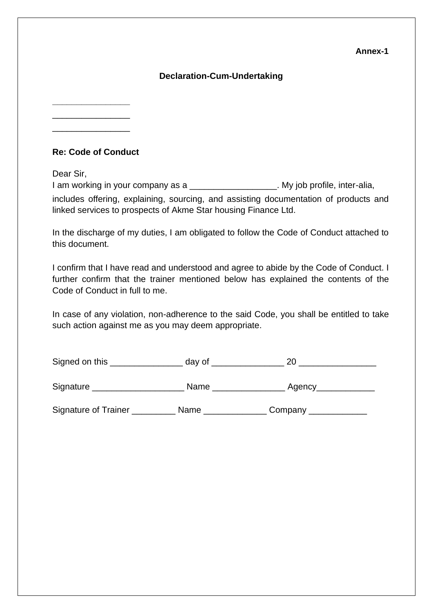## **Annex-1**

## **Declaration-Cum-Undertaking**

**\_\_\_\_\_\_\_\_\_\_\_\_\_\_\_\_** \_\_\_\_\_\_\_\_\_\_\_\_\_\_\_\_

\_\_\_\_\_\_\_\_\_\_\_\_\_\_\_\_

# **Re: Code of Conduct**

Dear Sir,

I am working in your company as a \_\_\_\_\_\_\_\_\_\_\_\_\_\_\_\_\_\_\_\_\_. My job profile, inter-alia, includes offering, explaining, sourcing, and assisting documentation of products and linked services to prospects of Akme Star housing Finance Ltd.

In the discharge of my duties, I am obligated to follow the Code of Conduct attached to this document.

I confirm that I have read and understood and agree to abide by the Code of Conduct. I further confirm that the trainer mentioned below has explained the contents of the Code of Conduct in full to me.

In case of any violation, non-adherence to the said Code, you shall be entitled to take such action against me as you may deem appropriate.

| Signed on this | dav o <sup>+</sup> |  |
|----------------|--------------------|--|
|                |                    |  |

Signature \_\_\_\_\_\_\_\_\_\_\_\_\_\_\_\_\_\_\_ Name \_\_\_\_\_\_\_\_\_\_\_\_\_\_\_ Agency\_\_\_\_\_\_\_\_\_\_\_\_

Signature of Trainer \_\_\_\_\_\_\_\_\_\_ Name \_\_\_\_\_\_\_\_\_\_\_\_\_ Company \_\_\_\_\_\_\_\_\_\_\_\_\_